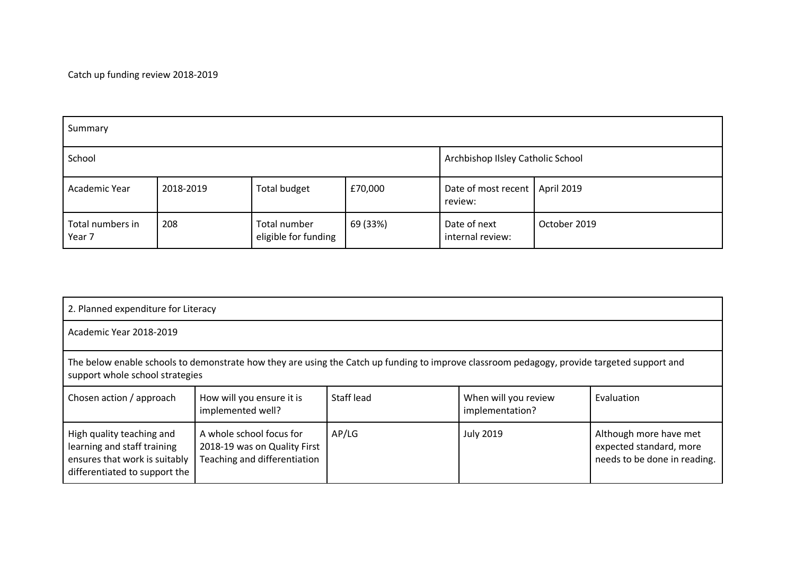Catch up funding review 2018-2019

| Summary                    |           |                                      |          |                                             |              |  |
|----------------------------|-----------|--------------------------------------|----------|---------------------------------------------|--------------|--|
| School                     |           |                                      |          | Archbishop Ilsley Catholic School           |              |  |
| Academic Year              | 2018-2019 | Total budget                         | £70,000  | Date of most recent   April 2019<br>review: |              |  |
| Total numbers in<br>Year 7 | 208       | Total number<br>eligible for funding | 69 (33%) | Date of next<br>internal review:            | October 2019 |  |

| 2. Planned expenditure for Literacy                                                                                                                                            |                                                                                          |            |                                         |                                                                                   |  |
|--------------------------------------------------------------------------------------------------------------------------------------------------------------------------------|------------------------------------------------------------------------------------------|------------|-----------------------------------------|-----------------------------------------------------------------------------------|--|
| Academic Year 2018-2019                                                                                                                                                        |                                                                                          |            |                                         |                                                                                   |  |
| The below enable schools to demonstrate how they are using the Catch up funding to improve classroom pedagogy, provide targeted support and<br>support whole school strategies |                                                                                          |            |                                         |                                                                                   |  |
| Chosen action / approach                                                                                                                                                       | How will you ensure it is<br>implemented well?                                           | Staff lead | When will you review<br>implementation? | Evaluation                                                                        |  |
| High quality teaching and<br>learning and staff training<br>ensures that work is suitably<br>differentiated to support the                                                     | A whole school focus for<br>2018-19 was on Quality First<br>Teaching and differentiation | AP/LG      | <b>July 2019</b>                        | Although more have met<br>expected standard, more<br>needs to be done in reading. |  |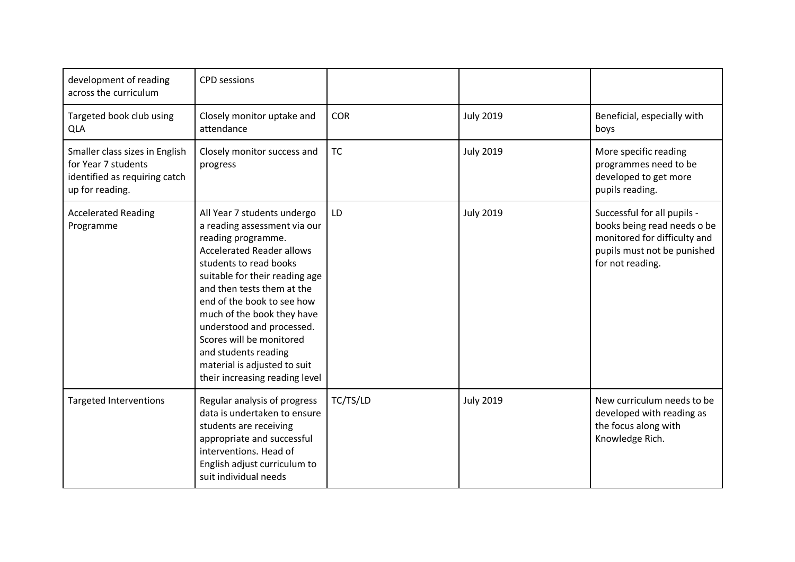| development of reading<br>across the curriculum                                                           | <b>CPD</b> sessions                                                                                                                                                                                                                                                                                                                                                                                                            |            |                  |                                                                                                                                               |
|-----------------------------------------------------------------------------------------------------------|--------------------------------------------------------------------------------------------------------------------------------------------------------------------------------------------------------------------------------------------------------------------------------------------------------------------------------------------------------------------------------------------------------------------------------|------------|------------------|-----------------------------------------------------------------------------------------------------------------------------------------------|
| Targeted book club using<br><b>QLA</b>                                                                    | Closely monitor uptake and<br>attendance                                                                                                                                                                                                                                                                                                                                                                                       | <b>COR</b> | <b>July 2019</b> | Beneficial, especially with<br>boys                                                                                                           |
| Smaller class sizes in English<br>for Year 7 students<br>identified as requiring catch<br>up for reading. | Closely monitor success and<br>progress                                                                                                                                                                                                                                                                                                                                                                                        | <b>TC</b>  | <b>July 2019</b> | More specific reading<br>programmes need to be<br>developed to get more<br>pupils reading.                                                    |
| <b>Accelerated Reading</b><br>Programme                                                                   | All Year 7 students undergo<br>a reading assessment via our<br>reading programme.<br><b>Accelerated Reader allows</b><br>students to read books<br>suitable for their reading age<br>and then tests them at the<br>end of the book to see how<br>much of the book they have<br>understood and processed.<br>Scores will be monitored<br>and students reading<br>material is adjusted to suit<br>their increasing reading level | LD         | <b>July 2019</b> | Successful for all pupils -<br>books being read needs o be<br>monitored for difficulty and<br>pupils must not be punished<br>for not reading. |
| <b>Targeted Interventions</b>                                                                             | Regular analysis of progress<br>data is undertaken to ensure<br>students are receiving<br>appropriate and successful<br>interventions. Head of<br>English adjust curriculum to<br>suit individual needs                                                                                                                                                                                                                        | TC/TS/LD   | <b>July 2019</b> | New curriculum needs to be<br>developed with reading as<br>the focus along with<br>Knowledge Rich.                                            |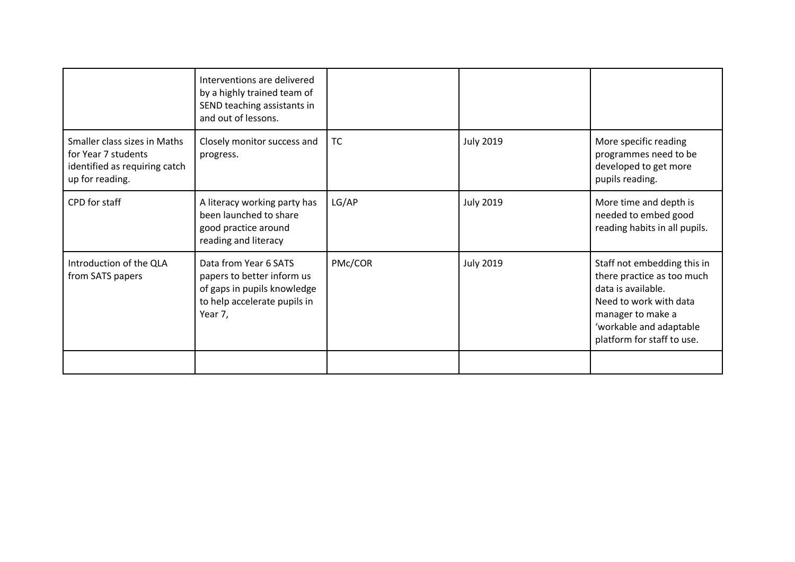|                                                                                                         | Interventions are delivered<br>by a highly trained team of<br>SEND teaching assistants in<br>and out of lessons.              |           |                  |                                                                                                                                                                                         |
|---------------------------------------------------------------------------------------------------------|-------------------------------------------------------------------------------------------------------------------------------|-----------|------------------|-----------------------------------------------------------------------------------------------------------------------------------------------------------------------------------------|
| Smaller class sizes in Maths<br>for Year 7 students<br>identified as requiring catch<br>up for reading. | Closely monitor success and<br>progress.                                                                                      | <b>TC</b> | <b>July 2019</b> | More specific reading<br>programmes need to be<br>developed to get more<br>pupils reading.                                                                                              |
| CPD for staff                                                                                           | A literacy working party has<br>been launched to share<br>good practice around<br>reading and literacy                        | LG/AP     | <b>July 2019</b> | More time and depth is<br>needed to embed good<br>reading habits in all pupils.                                                                                                         |
| Introduction of the QLA<br>from SATS papers                                                             | Data from Year 6 SATS<br>papers to better inform us<br>of gaps in pupils knowledge<br>to help accelerate pupils in<br>Year 7, | PMc/COR   | <b>July 2019</b> | Staff not embedding this in<br>there practice as too much<br>data is available.<br>Need to work with data<br>manager to make a<br>'workable and adaptable<br>platform for staff to use. |
|                                                                                                         |                                                                                                                               |           |                  |                                                                                                                                                                                         |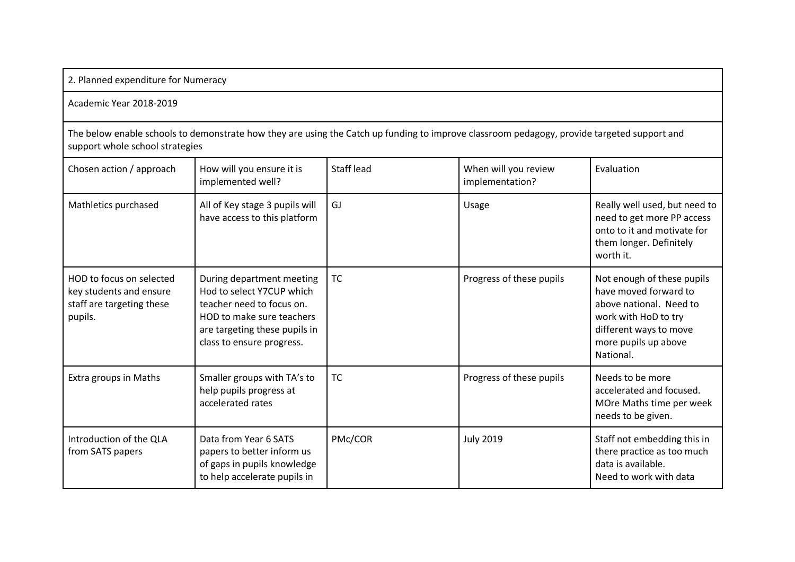|  |  | 2. Planned expenditure for Numeracy |  |  |
|--|--|-------------------------------------|--|--|
|--|--|-------------------------------------|--|--|

## Academic Year 2018-2019

The below enable schools to demonstrate how they are using the Catch up funding to improve classroom pedagogy, provide targeted support and support whole school strategies

| Chosen action / approach                                                                    | How will you ensure it is<br>implemented well?                                                                                                                                 | Staff lead | When will you review<br>implementation? | Evaluation                                                                                                                                                            |
|---------------------------------------------------------------------------------------------|--------------------------------------------------------------------------------------------------------------------------------------------------------------------------------|------------|-----------------------------------------|-----------------------------------------------------------------------------------------------------------------------------------------------------------------------|
| Mathletics purchased                                                                        | All of Key stage 3 pupils will<br>have access to this platform                                                                                                                 | GJ         | Usage                                   | Really well used, but need to<br>need to get more PP access<br>onto to it and motivate for<br>them longer. Definitely<br>worth it.                                    |
| HOD to focus on selected<br>key students and ensure<br>staff are targeting these<br>pupils. | During department meeting<br>Hod to select Y7CUP which<br>teacher need to focus on.<br>HOD to make sure teachers<br>are targeting these pupils in<br>class to ensure progress. | <b>TC</b>  | Progress of these pupils                | Not enough of these pupils<br>have moved forward to<br>above national. Need to<br>work with HoD to try<br>different ways to move<br>more pupils up above<br>National. |
| Extra groups in Maths                                                                       | Smaller groups with TA's to<br>help pupils progress at<br>accelerated rates                                                                                                    | <b>TC</b>  | Progress of these pupils                | Needs to be more<br>accelerated and focused.<br>MOre Maths time per week<br>needs to be given.                                                                        |
| Introduction of the QLA<br>from SATS papers                                                 | Data from Year 6 SATS<br>papers to better inform us<br>of gaps in pupils knowledge<br>to help accelerate pupils in                                                             | PMc/COR    | <b>July 2019</b>                        | Staff not embedding this in<br>there practice as too much<br>data is available.<br>Need to work with data                                                             |